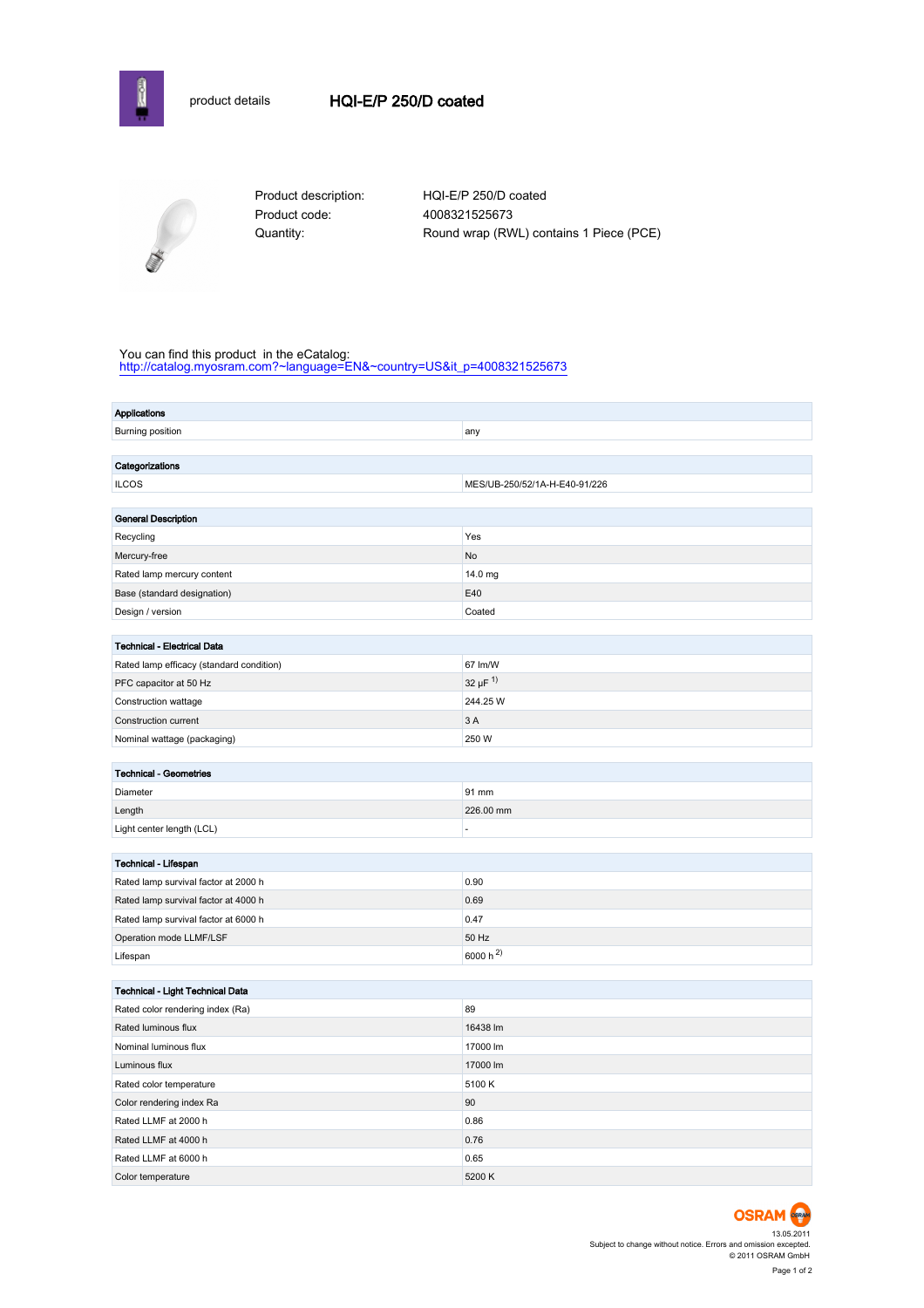



Product code: 4008321525673

Product description: HQI-E/P 250/D coated Quantity: Round wrap (RWL) contains 1 Piece (PCE)

#### You can find this product in the eCatalog:

[http://catalog.myosram.com?~language=EN&~country=US&it\\_p=4008321525673](http://catalog.myosram.com?~language=EN&~country=US&it_p=4008321525673)

| <b>Applications</b>                      |                               |  |  |
|------------------------------------------|-------------------------------|--|--|
| Burning position                         | any                           |  |  |
|                                          |                               |  |  |
| Categorizations                          |                               |  |  |
| <b>ILCOS</b>                             | MES/UB-250/52/1A-H-E40-91/226 |  |  |
|                                          |                               |  |  |
| <b>General Description</b>               |                               |  |  |
| Recycling                                | Yes                           |  |  |
| Mercury-free                             | No                            |  |  |
| Rated lamp mercury content               | 14.0 mg                       |  |  |
| Base (standard designation)              | E40                           |  |  |
| Design / version                         | Coated                        |  |  |
|                                          |                               |  |  |
| Technical - Electrical Data              |                               |  |  |
| Rated lamp efficacy (standard condition) | 67 lm/W                       |  |  |
| PFC capacitor at 50 Hz                   | 32 µF $^{1)}$                 |  |  |
| Construction wattage                     | 244.25 W                      |  |  |
| Construction current                     | 3A                            |  |  |
| Nominal wattage (packaging)              | 250 W                         |  |  |
|                                          |                               |  |  |
| <b>Technical - Geometries</b>            |                               |  |  |
| Diameter                                 | 91 mm                         |  |  |
| Length                                   | 226.00 mm                     |  |  |
| Light center length (LCL)                | ÷,                            |  |  |
|                                          |                               |  |  |
| Technical - Lifespan                     | 0.90                          |  |  |
| Rated lamp survival factor at 2000 h     |                               |  |  |
| Rated lamp survival factor at 4000 h     | 0.69                          |  |  |
| Rated lamp survival factor at 6000 h     | 0.47                          |  |  |
| Operation mode LLMF/LSF                  | 50 Hz                         |  |  |
| Lifespan                                 | 6000 h $^{2)}$                |  |  |
| Technical - Light Technical Data         |                               |  |  |
| Rated color rendering index (Ra)         | 89                            |  |  |
| Rated luminous flux                      | 16438 lm                      |  |  |
|                                          | 17000 lm                      |  |  |
| Nominal luminous flux                    |                               |  |  |
| Luminous flux                            | 17000 lm                      |  |  |
| Rated color temperature                  | 5100 K                        |  |  |
| Color rendering index Ra                 | 90                            |  |  |
| Rated LLMF at 2000 h                     | 0.86                          |  |  |
| Rated LLMF at 4000 h                     | 0.76                          |  |  |
| Rated LLMF at 6000 h                     | 0.65                          |  |  |
| Color temperature                        | 5200 K                        |  |  |